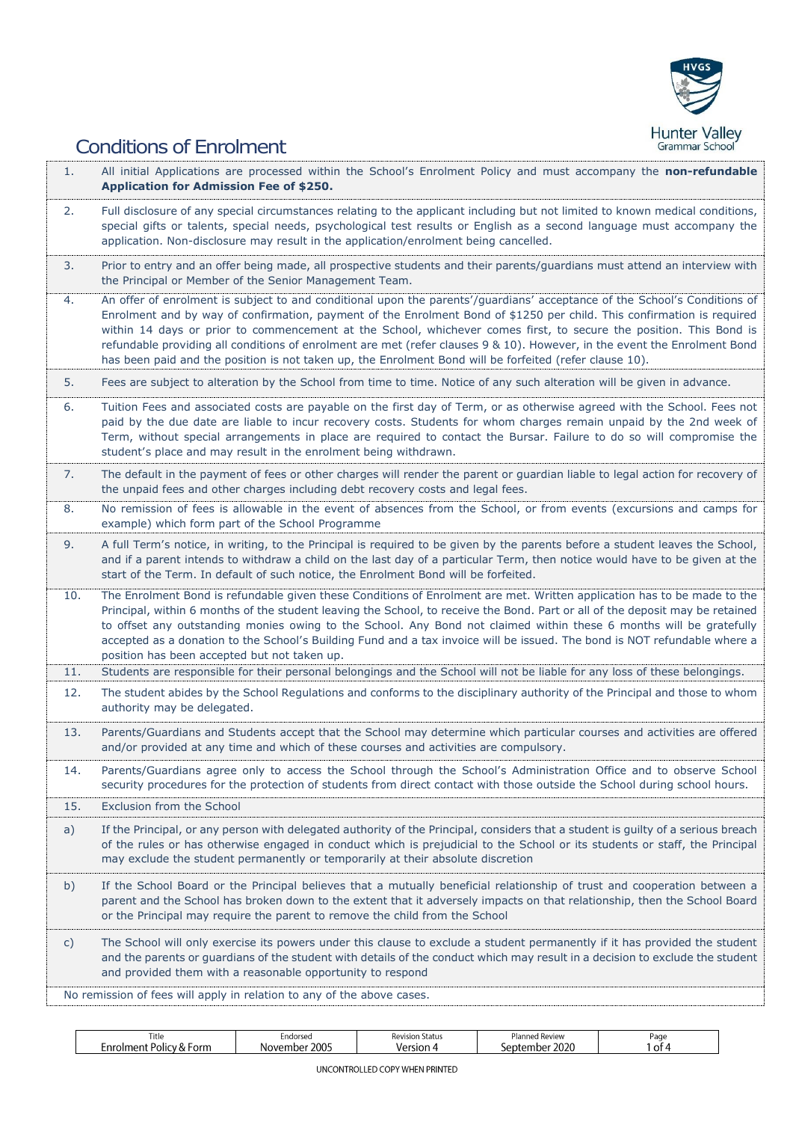

## Conditions of Enrolment

| 1.  | All initial Applications are processed within the School's Enrolment Policy and must accompany the non-refundable<br><b>Application for Admission Fee of \$250.</b>                                                                                                                                                                                                                                                                                                                                                                                                                                               |
|-----|-------------------------------------------------------------------------------------------------------------------------------------------------------------------------------------------------------------------------------------------------------------------------------------------------------------------------------------------------------------------------------------------------------------------------------------------------------------------------------------------------------------------------------------------------------------------------------------------------------------------|
| 2.  | Full disclosure of any special circumstances relating to the applicant including but not limited to known medical conditions,<br>special gifts or talents, special needs, psychological test results or English as a second language must accompany the<br>application. Non-disclosure may result in the application/enrolment being cancelled.                                                                                                                                                                                                                                                                   |
| 3.  | Prior to entry and an offer being made, all prospective students and their parents/guardians must attend an interview with<br>the Principal or Member of the Senior Management Team.                                                                                                                                                                                                                                                                                                                                                                                                                              |
| 4.  | An offer of enrolment is subject to and conditional upon the parents'/guardians' acceptance of the School's Conditions of<br>Enrolment and by way of confirmation, payment of the Enrolment Bond of \$1250 per child. This confirmation is required<br>within 14 days or prior to commencement at the School, whichever comes first, to secure the position. This Bond is<br>refundable providing all conditions of enrolment are met (refer clauses 9 & 10). However, in the event the Enrolment Bond<br>has been paid and the position is not taken up, the Enrolment Bond will be forfeited (refer clause 10). |
| 5.  | Fees are subject to alteration by the School from time to time. Notice of any such alteration will be given in advance.                                                                                                                                                                                                                                                                                                                                                                                                                                                                                           |
| 6.  | Tuition Fees and associated costs are payable on the first day of Term, or as otherwise agreed with the School. Fees not<br>paid by the due date are liable to incur recovery costs. Students for whom charges remain unpaid by the 2nd week of<br>Term, without special arrangements in place are required to contact the Bursar. Failure to do so will compromise the<br>student's place and may result in the enrolment being withdrawn.                                                                                                                                                                       |
| 7.  | The default in the payment of fees or other charges will render the parent or guardian liable to legal action for recovery of<br>the unpaid fees and other charges including debt recovery costs and legal fees.                                                                                                                                                                                                                                                                                                                                                                                                  |
| 8.  | No remission of fees is allowable in the event of absences from the School, or from events (excursions and camps for<br>example) which form part of the School Programme                                                                                                                                                                                                                                                                                                                                                                                                                                          |
| 9.  | A full Term's notice, in writing, to the Principal is required to be given by the parents before a student leaves the School,<br>and if a parent intends to withdraw a child on the last day of a particular Term, then notice would have to be given at the<br>start of the Term. In default of such notice, the Enrolment Bond will be forfeited.                                                                                                                                                                                                                                                               |
| 10. | The Enrolment Bond is refundable given these Conditions of Enrolment are met. Written application has to be made to the<br>Principal, within 6 months of the student leaving the School, to receive the Bond. Part or all of the deposit may be retained<br>to offset any outstanding monies owing to the School. Any Bond not claimed within these 6 months will be gratefully<br>accepted as a donation to the School's Building Fund and a tax invoice will be issued. The bond is NOT refundable where a<br>position has been accepted but not taken up.                                                      |
| 11. | Students are responsible for their personal belongings and the School will not be liable for any loss of these belongings.                                                                                                                                                                                                                                                                                                                                                                                                                                                                                        |
| 12. | The student abides by the School Regulations and conforms to the disciplinary authority of the Principal and those to whom<br>authority may be delegated.                                                                                                                                                                                                                                                                                                                                                                                                                                                         |
| 13. | Parents/Guardians and Students accept that the School may determine which particular courses and activities are offered<br>and/or provided at any time and which of these courses and activities are compulsory.                                                                                                                                                                                                                                                                                                                                                                                                  |
| 14. | Parents/Guardians agree only to access the School through the School's Administration Office and to observe School<br>security procedures for the protection of students from direct contact with those outside the School during school hours.                                                                                                                                                                                                                                                                                                                                                                   |
| 15. | Exclusion from the School                                                                                                                                                                                                                                                                                                                                                                                                                                                                                                                                                                                         |
| a)  | If the Principal, or any person with delegated authority of the Principal, considers that a student is guilty of a serious breach<br>of the rules or has otherwise engaged in conduct which is prejudicial to the School or its students or staff, the Principal<br>may exclude the student permanently or temporarily at their absolute discretion                                                                                                                                                                                                                                                               |
| b)  | If the School Board or the Principal believes that a mutually beneficial relationship of trust and cooperation between a<br>parent and the School has broken down to the extent that it adversely impacts on that relationship, then the School Board<br>or the Principal may require the parent to remove the child from the School                                                                                                                                                                                                                                                                              |
| C)  | The School will only exercise its powers under this clause to exclude a student permanently if it has provided the student<br>and the parents or guardians of the student with details of the conduct which may result in a decision to exclude the student<br>and provided them with a reasonable opportunity to respond                                                                                                                                                                                                                                                                                         |
|     | No remission of fees will apply in relation to any of the above cases.                                                                                                                                                                                                                                                                                                                                                                                                                                                                                                                                            |

| Title<br>$-1 - 1 - 1 = 1$                | Endorsed         | . ב<br>vision Status<br>IV. | Planned<br>Review | Page |
|------------------------------------------|------------------|-----------------------------|-------------------|------|
| $-20$<br>-orm<br>.ent<br>POLICV & .<br>O | 2005<br>November | ∵ersion -                   | 2020<br>noc<br>.  | ot 4 |
|                                          |                  |                             |                   |      |